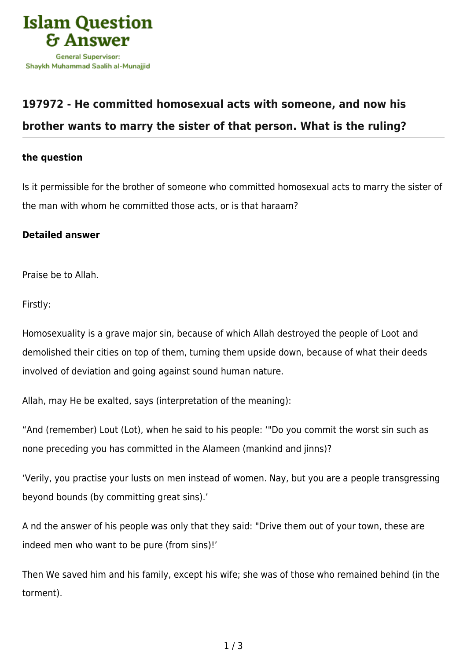

## **[197972 - He committed homosexual acts with someone, and now his](https://islamqa.com/en/answers/197972/he-committed-homosexual-acts-with-someone-and-now-his-brother-wants-to-marry-the-sister-of-that-person-what-is-the-ruling) [brother wants to marry the sister of that person. What is the ruling?](https://islamqa.com/en/answers/197972/he-committed-homosexual-acts-with-someone-and-now-his-brother-wants-to-marry-the-sister-of-that-person-what-is-the-ruling)**

## **the question**

Is it permissible for the brother of someone who committed homosexual acts to marry the sister of the man with whom he committed those acts, or is that haraam?

## **Detailed answer**

Praise be to Allah.

Firstly:

Homosexuality is a grave major sin, because of which Allah destroyed the people of Loot and demolished their cities on top of them, turning them upside down, because of what their deeds involved of deviation and going against sound human nature.

Allah, may He be exalted, says (interpretation of the meaning):

"And (remember) Lout (Lot), when he said to his people: '"Do you commit the worst sin such as none preceding you has committed in the Alameen (mankind and jinns)?

'Verily, you practise your lusts on men instead of women. Nay, but you are a people transgressing beyond bounds (by committing great sins).'

A nd the answer of his people was only that they said: "Drive them out of your town, these are indeed men who want to be pure (from sins)!'

Then We saved him and his family, except his wife; she was of those who remained behind (in the torment).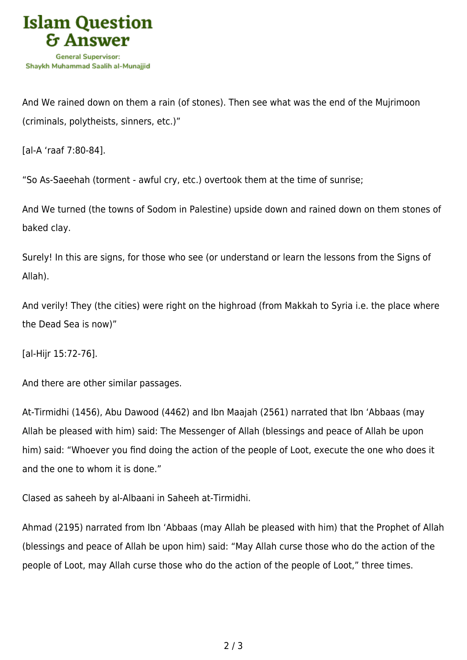

And We rained down on them a rain (of stones). Then see what was the end of the Mujrimoon (criminals, polytheists, sinners, etc.)"

[al-A 'raaf 7:80-84].

"So As-Saeehah (torment - awful cry, etc.) overtook them at the time of sunrise;

And We turned (the towns of Sodom in Palestine) upside down and rained down on them stones of baked clay.

Surely! In this are signs, for those who see (or understand or learn the lessons from the Signs of Allah).

And verily! They (the cities) were right on the highroad (from Makkah to Syria i.e. the place where the Dead Sea is now)"

[al-Hijr 15:72-76].

And there are other similar passages.

At-Tirmidhi (1456), Abu Dawood (4462) and Ibn Maajah (2561) narrated that Ibn 'Abbaas (may Allah be pleased with him) said: The Messenger of Allah (blessings and peace of Allah be upon him) said: "Whoever you find doing the action of the people of Loot, execute the one who does it and the one to whom it is done."

Clased as saheeh by al-Albaani in Saheeh at-Tirmidhi.

Ahmad (2195) narrated from Ibn 'Abbaas (may Allah be pleased with him) that the Prophet of Allah (blessings and peace of Allah be upon him) said: "May Allah curse those who do the action of the people of Loot, may Allah curse those who do the action of the people of Loot," three times.